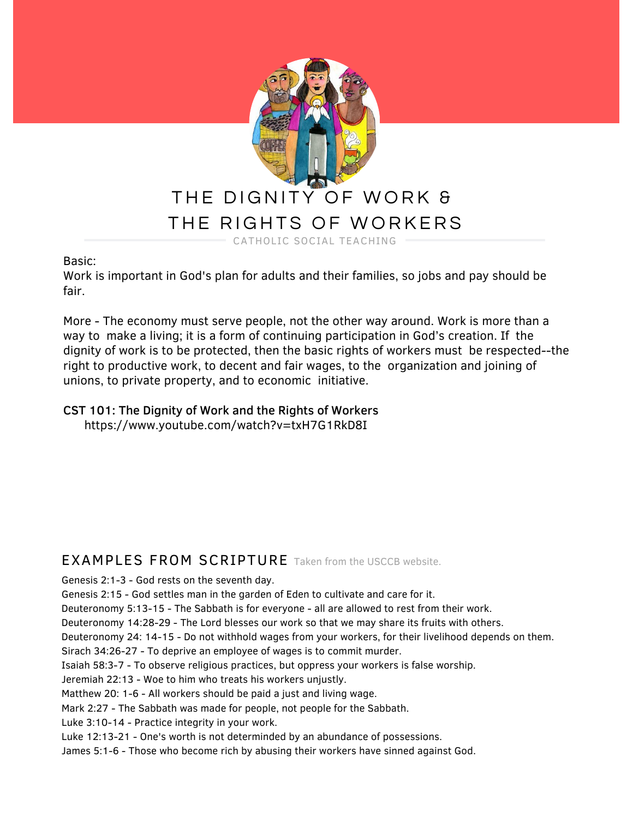

Basic:

Work is important in God's plan for adults and their families, so jobs and pay should be fair.

More - The economy must serve people, not the other way around. Work is more than a way to make a living; it is a form of continuing participation in God's creation. If the dignity of work is to be protected, then the basic rights of workers must be respected--the right to productive work, to decent and fair wages, to the organization and joining of unions, to private property, and to economic initiative.

#### CST 101: The Dignity of Work and the Rights of Workers https://www.youtube.com/watch?v=txH7G1RkD8I

# EXAMPLES FROM SCRIPTURE Taken from the USCCB website.

Genesis 2:1-3 - God rests on the seventh day.

Genesis 2:15 - God settles man in the garden of Eden to cultivate and care for it.

Deuteronomy 5:13-15 - The Sabbath is for everyone - all are allowed to rest from their work.

Deuteronomy 14:28-29 - The Lord blesses our work so that we may share its fruits with others.

Deuteronomy 24: 14-15 - Do not withhold wages from your workers, for their livelihood depends on them.

Sirach 34:26-27 - To deprive an employee of wages is to commit murder.

Isaiah 58:3-7 - To observe religious practices, but oppress your workers is false worship.

Jeremiah 22:13 - Woe to him who treats his workers unjustly.

Matthew 20: 1-6 - All workers should be paid a just and living wage.

Mark 2:27 - The Sabbath was made for people, not people for the Sabbath.

Luke 3:10-14 - Practice integrity in your work.

Luke 12:13-21 - One's worth is not determinded by an abundance of possessions.

James 5:1-6 - Those who become rich by abusing their workers have sinned against God.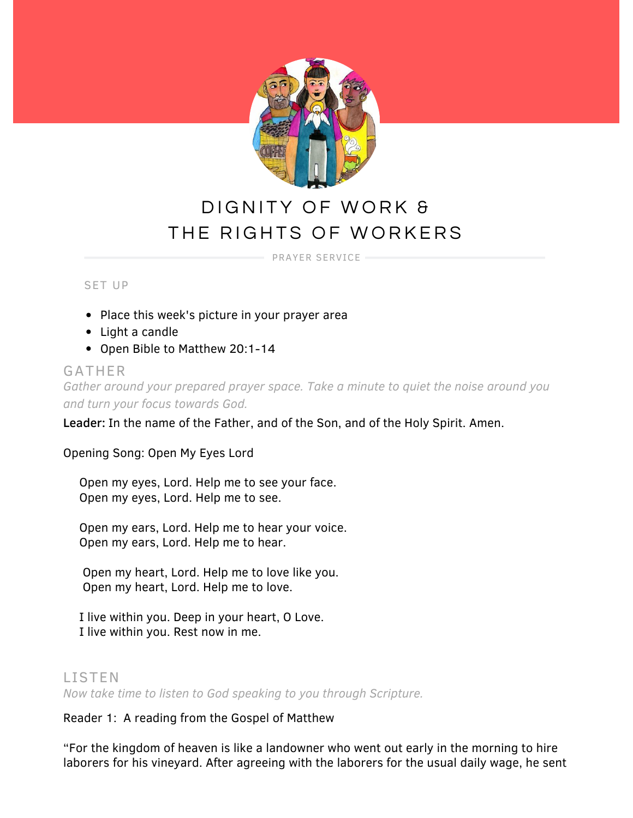

# DIGNITY OF WORK & THE RIGHTS OF WORKERS

PRAYER SERVICE

SET UP

- Place this week's picture in your prayer area
- Light a candle
- Open Bible to Matthew 20:1-14

### GATHER

*Gather around your prepared prayer space. Take a minute to quiet the noise around you and turn your focus towards God.*

Leader: In the name of the Father, and of the Son, and of the Holy Spirit. Amen.

Opening Song: Open My Eyes Lord

Open my eyes, Lord. Help me to see your face. Open my eyes, Lord. Help me to see.

Open my ears, Lord. Help me to hear your voice. Open my ears, Lord. Help me to hear.

Open my heart, Lord. Help me to love like you. Open my heart, Lord. Help me to love.

I live within you. Deep in your heart, O Love. I live within you. Rest now in me.

# LISTEN

*Now take time to listen to God speaking to you through Scripture.*

Reader 1: A reading from the Gospel of Matthew

"For the kingdom of heaven is like a landowner who went out early in the morning to hire laborers for his vineyard. After agreeing with the laborers for the usual daily wage, he sent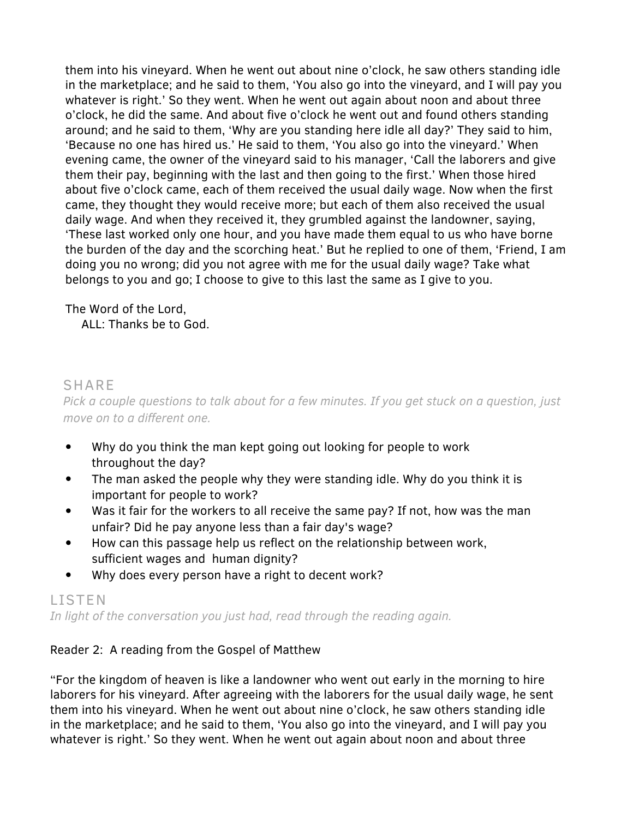them into his vineyard. When he went out about nine o'clock, he saw others standing idle in the marketplace; and he said to them, 'You also go into the vineyard, and I will pay you whatever is right.' So they went. When he went out again about noon and about three o'clock, he did the same. And about five o'clock he went out and found others standing around; and he said to them, 'Why are you standing here idle all day?' They said to him, 'Because no one has hired us.' He said to them, 'You also go into the vineyard.' When evening came, the owner of the vineyard said to his manager, 'Call the laborers and give them their pay, beginning with the last and then going to the first.' When those hired about five o'clock came, each of them received the usual daily wage. Now when the first came, they thought they would receive more; but each of them also received the usual daily wage. And when they received it, they grumbled against the landowner, saying, 'These last worked only one hour, and you have made them equal to us who have borne the burden of the day and the scorching heat.' But he replied to one of them, 'Friend, I am doing you no wrong; did you not agree with me for the usual daily wage? Take what belongs to you and go; I choose to give to this last the same as I give to you.

# The Word of the Lord,

ALL: Thanks be to God.

# SHARE

*Pick a couple questions to talk about for a few minutes. If you get stuck on a question, just move on to a different one.*

- $\bullet$ Why do you think the man kept going out looking for people to work throughout the day?
- $\bullet$ The man asked the people why they were standing idle. Why do you think it is important for people to work?
- Was it fair for the workers to all receive the same pay? If not, how was the man  $\bullet$ unfair? Did he pay anyone less than a fair day's wage?
- How can this passage help us reflect on the relationship between work,  $\bullet$ sufficient wages and human dignity?
- $\bullet$ Why does every person have a right to decent work?

# LISTEN

*In light of the conversation you just had, read through the reading again.*

# Reader 2: A reading from the Gospel of Matthew

"For the kingdom of heaven is like a landowner who went out early in the morning to hire laborers for his vineyard. After agreeing with the laborers for the usual daily wage, he sent them into his vineyard. When he went out about nine o'clock, he saw others standing idle in the marketplace; and he said to them, 'You also go into the vineyard, and I will pay you whatever is right.' So they went. When he went out again about noon and about three